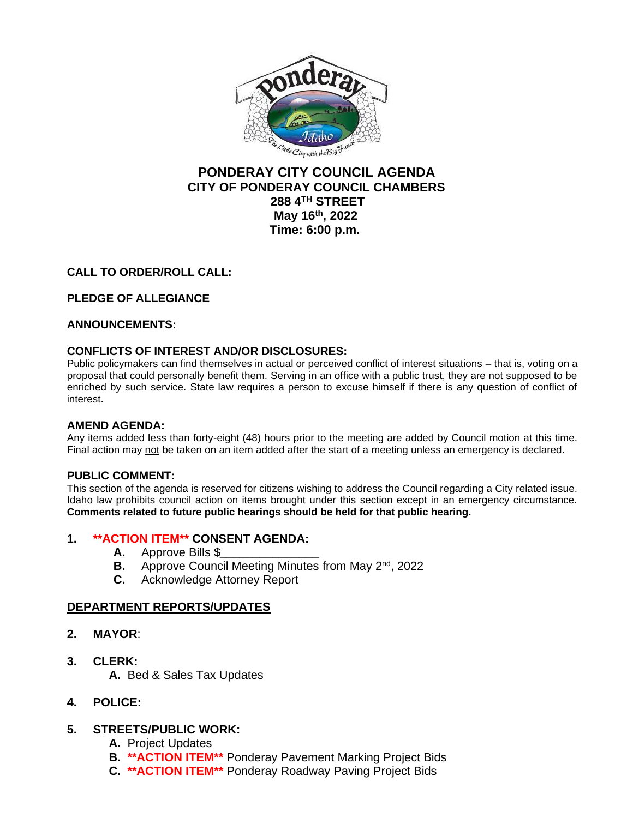

# **PONDERAY CITY COUNCIL AGENDA CITY OF PONDERAY COUNCIL CHAMBERS 288 4TH STREET May 16th, 2022 Time: 6:00 p.m.**

## **CALL TO ORDER/ROLL CALL:**

## **PLEDGE OF ALLEGIANCE**

### **ANNOUNCEMENTS:**

### **CONFLICTS OF INTEREST AND/OR DISCLOSURES:**

Public policymakers can find themselves in actual or perceived conflict of interest situations – that is, voting on a proposal that could personally benefit them. Serving in an office with a public trust, they are not supposed to be enriched by such service. State law requires a person to excuse himself if there is any question of conflict of interest.

### **AMEND AGENDA:**

Any items added less than forty-eight (48) hours prior to the meeting are added by Council motion at this time. Final action may not be taken on an item added after the start of a meeting unless an emergency is declared.

### **PUBLIC COMMENT:**

This section of the agenda is reserved for citizens wishing to address the Council regarding a City related issue. Idaho law prohibits council action on items brought under this section except in an emergency circumstance. **Comments related to future public hearings should be held for that public hearing.**

### **1. \*\*ACTION ITEM\*\* CONSENT AGENDA:**

- **A.** Approve Bills \$*\_\_\_\_\_\_\_\_\_\_\_\_\_\_\_*
- **B.** Approve Council Meeting Minutes from May 2<sup>nd</sup>, 2022
- **C.** Acknowledge Attorney Report

### **DEPARTMENT REPORTS/UPDATES**

- **2. MAYOR**:
- **3. CLERK:**
	- **A.** Bed & Sales Tax Updates
- **4. POLICE:**

### **5. STREETS/PUBLIC WORK:**

- **A.** Project Updates
- **B. \*\*ACTION ITEM\*\*** Ponderay Pavement Marking Project Bids
- **C. \*\*ACTION ITEM\*\*** Ponderay Roadway Paving Project Bids